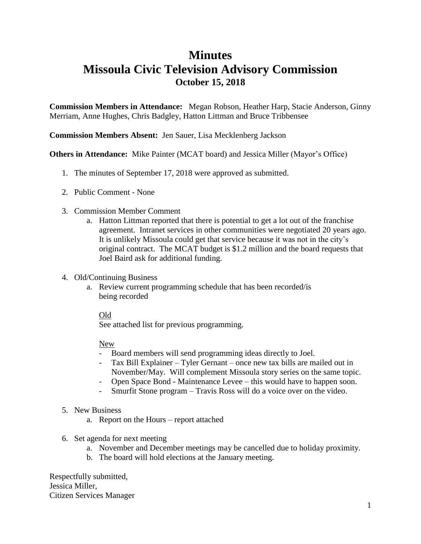### **Minutes**

### **Missoula Civic Television Advisory Commission October 15, 2018**

**Commission Members in Attendance:** Megan Robson, Heather Harp, Stacie Anderson, Ginny Merriam, Anne Hughes, Chris Badgley, Hatton Littman and Bruce Tribbensee

#### **Commission Members Absent:** Jen Sauer, Lisa Mecklenberg Jackson

#### **Others in Attendance:** Mike Painter (MCAT board) and Jessica Miller (Mayor's Office)

- 1. The minutes of September 17, 2018 were approved as submitted.
- 2. Public Comment None
- 3. Commission Member Comment
	- a. Hatton Littman reported that there is potential to get a lot out of the franchise agreement. Intranet services in other communities were negotiated 20 years ago. It is unlikely Missoula could get that service because it was not in the city's original contract. The MCAT budget is \$1.2 million and the board requests that Joel Baird ask for additional funding.
- 4. Old/Continuing Business
	- a. Review current programming schedule that has been recorded/is being recorded

#### Old

See attached list for previous programming.

#### New

- Board members will send programming ideas directly to Joel.
- Tax Bill Explainer Tyler Gernant once new tax bills are mailed out in November/May. Will complement Missoula story series on the same topic.
- Open Space Bond Maintenance Levee this would have to happen soon.
- Smurfit Stone program Travis Ross will do a voice over on the video.
- 5. New Business
	- a. Report on the Hours report attached
- 6. Set agenda for next meeting
	- a. November and December meetings may be cancelled due to holiday proximity.
	- b. The board will hold elections at the January meeting.

Respectfully submitted, Jessica Miller, Citizen Services Manager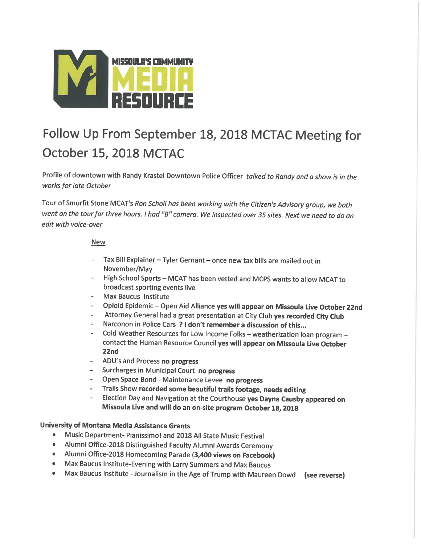

# Follow Up From September 18, 2018 MCTAC Meeting for October 15, 2018 MCTAC

Profile of downtown with Randy Krastel Downtown Police Officer talked to Randy and a show is in the works for late October

Tour of Smurfit Stone MCAT's Ron Scholl has been working with the Citizen's Advisory group, we both went on the tour for three hours. I had "B" camera. We inspected over 35 sites. Next we need to do an edit with voice-over

#### **New**

- Tax Bill Explainer Tyler Gernant once new tax bills are mailed out in November/May
- High School Sports MCAT has been vetted and MCPS wants to allow MCAT to broadcast sporting events live
- **Max Baucus Institute**
- Opioid Epidemic Open Aid Alliance yes will appear on Missoula Live October 22nd
- Attorney General had a great presentation at City Club yes recorded City Club
- Narconon in Police Cars ? I don't remember a discussion of this...
- Cold Weather Resources for Low Income Folks weatherization loan program contact the Human Resource Council yes will appear on Missoula Live October 22nd
- ADU's and Process no progress
- Surcharges in Municipal Court no progress
- Open Space Bond Maintenance Levee no progress
- Trails Show recorded some beautiful trails footage, needs editing
- Election Day and Navigation at the Courthouse yes Dayna Causby appeared on Missoula Live and will do an on-site program October 18, 2018

#### University of Montana Media Assistance Grants

- Music Department- Pianissimo! and 2018 All State Music Festival
- Alumni Office-2018 Distinguished Faculty Alumni Awards Ceremony
- Alumni Office-2018 Homecoming Parade (3,400 views on Facebook)
- Max Baucus Institute-Evening with Larry Summers and Max Baucus
- $\bullet$ Max Baucus Institute - Journalism in the Age of Trump with Maureen Dowd (see reverse)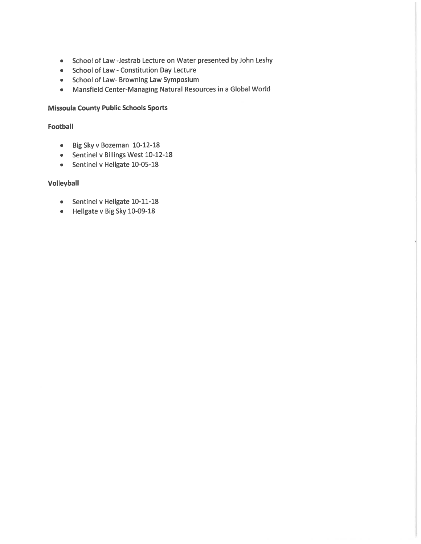- School of Law -Jestrab Lecture on Water presented by John Leshy
- School of Law Constitution Day Lecture
- School of Law- Browning Law Symposium
- Mansfield Center-Managing Natural Resources in a Global World

#### **Missoula County Public Schools Sports**

#### **Football**

- Big Sky v Bozeman 10-12-18
- Sentinel v Billings West 10-12-18
- Sentinel v Hellgate 10-05-18

#### **Volleyball**

- Sentinel v Hellgate 10-11-18
- Hellgate v Big Sky 10-09-18